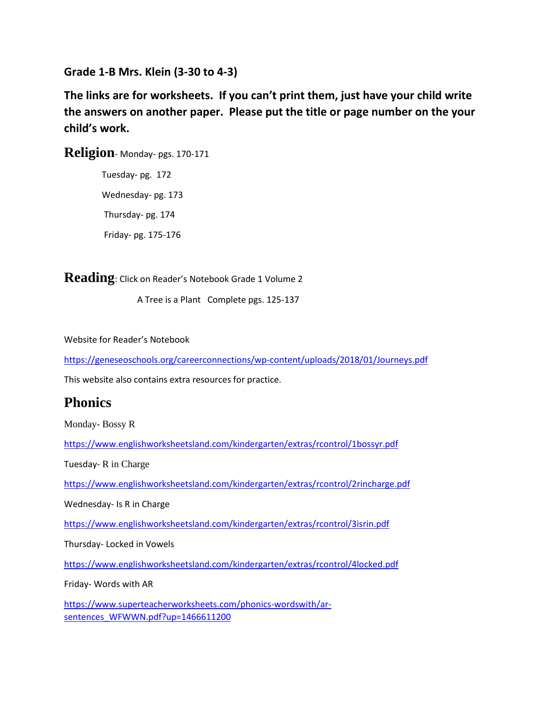**Grade 1-B Mrs. Klein (3-30 to 4-3)**

**The links are for worksheets. If you can't print them, just have your child write the answers on another paper. Please put the title or page number on the your child's work.**

**Religion**- Monday- pgs. 170-171

 Tuesday- pg. 172 Wednesday- pg. 173 Thursday- pg. 174 Friday- pg. 175-176

**Reading**: Click on Reader's Notebook Grade 1 Volume 2

A Tree is a Plant Complete pgs. 125-137

Website for Reader's Notebook

<https://geneseoschools.org/careerconnections/wp-content/uploads/2018/01/Journeys.pdf>

This website also contains extra resources for practice.

## **Phonics**

Monday- Bossy R

<https://www.englishworksheetsland.com/kindergarten/extras/rcontrol/1bossyr.pdf>

Tuesday- R in Charge

<https://www.englishworksheetsland.com/kindergarten/extras/rcontrol/2rincharge.pdf>

Wednesday- Is R in Charge

<https://www.englishworksheetsland.com/kindergarten/extras/rcontrol/3isrin.pdf>

Thursday- Locked in Vowels

<https://www.englishworksheetsland.com/kindergarten/extras/rcontrol/4locked.pdf>

Friday- Words with AR

[https://www.superteacherworksheets.com/phonics-wordswith/ar](https://www.superteacherworksheets.com/phonics-wordswith/ar-sentences_WFWWN.pdf?up=1466611200)[sentences\\_WFWWN.pdf?up=1466611200](https://www.superteacherworksheets.com/phonics-wordswith/ar-sentences_WFWWN.pdf?up=1466611200)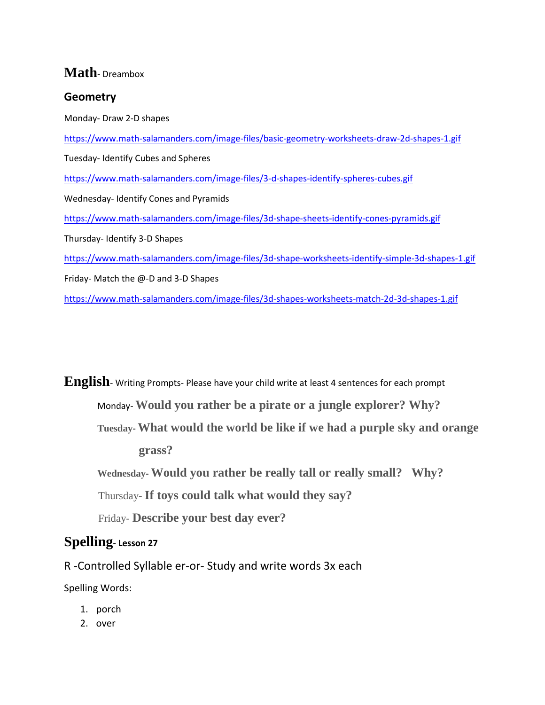## **Math**- Dreambox

## **Geometry**

Monday- Draw 2-D shapes <https://www.math-salamanders.com/image-files/basic-geometry-worksheets-draw-2d-shapes-1.gif> Tuesday- Identify Cubes and Spheres <https://www.math-salamanders.com/image-files/3-d-shapes-identify-spheres-cubes.gif> Wednesday- Identify Cones and Pyramids <https://www.math-salamanders.com/image-files/3d-shape-sheets-identify-cones-pyramids.gif> Thursday- Identify 3-D Shapes <https://www.math-salamanders.com/image-files/3d-shape-worksheets-identify-simple-3d-shapes-1.gif> Friday- Match the @-D and 3-D Shapes <https://www.math-salamanders.com/image-files/3d-shapes-worksheets-match-2d-3d-shapes-1.gif>

**English**- Writing Prompts- Please have your child write at least 4 sentences for each prompt Monday- **Would you rather be a pirate or a jungle explorer? Why? Tuesday- What would the world be like if we had a purple sky and orange grass? Wednesday- Would you rather be really tall or really small? Why?** Thursday- **If toys could talk what would they say?** Friday- **Describe your best day ever?**

## **Spelling- Lesson 27**

R -Controlled Syllable er-or- Study and write words 3x each

Spelling Words:

- 1. porch
- 2. over